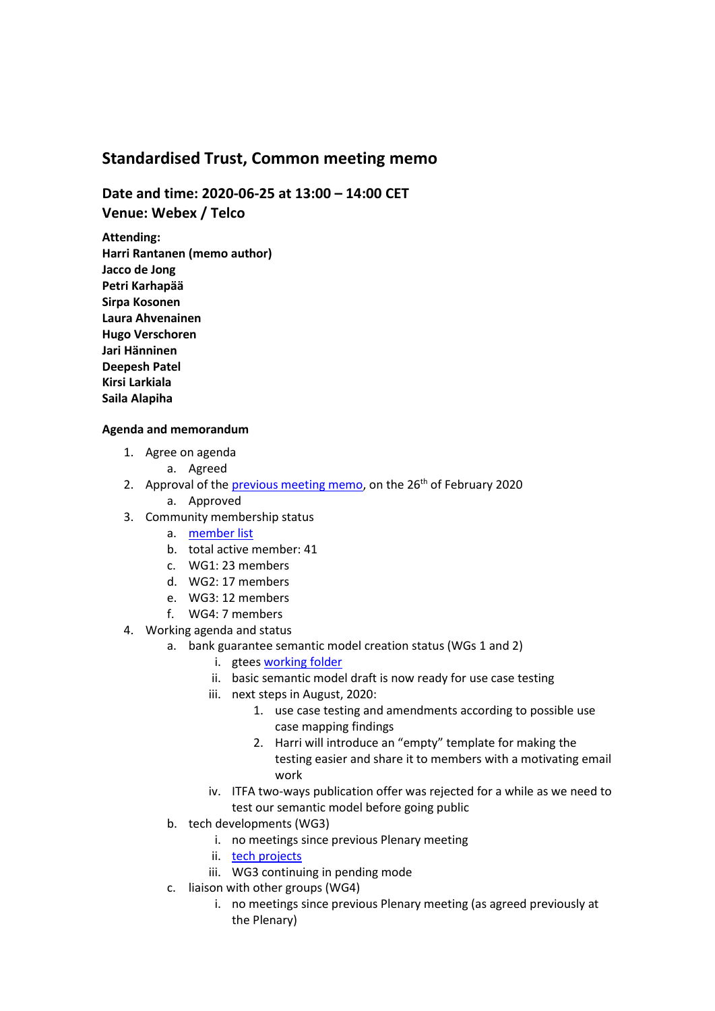## **Standardised Trust, Common meeting memo**

**Date and time: 2020-06-25 at 13:00 – 14:00 CET Venue: Webex / Telco**

**Attending: Harri Rantanen (memo author) Jacco de Jong Petri Karhapää Sirpa Kosonen Laura Ahvenainen Hugo Verschoren Jari Hänninen Deepesh Patel Kirsi Larkiala Saila Alapiha**

## **Agenda and memorandum**

- 1. Agree on agenda
	- a. Agreed
- 2. Approval of the [previous meeting memo,](https://1drv.ms/b/s!AraI44MGEo7BgiTT5WtGxMUR8vxO?e=Uo9NWb) on the  $26<sup>th</sup>$  of February 2020 a. Approved
- 3. Community membership status
	- a. [member list](https://1drv.ms/x/s!AraI44MGEo7BcC8sAl4ErAFQC00?e=8VfLD9)
	- b. total active member: 41
	- c. WG1: 23 members
	- d. WG2: 17 members
	- e. WG3: 12 members
	- f. WG4: 7 members
- 4. Working agenda and status
	- a. bank guarantee semantic model creation status (WGs 1 and 2)
		- i. gtee[s working folder](https://1drv.ms/u/s!AraI44MGEo7BgUIBjRYevwThVpZT?e=puy45J)
		- ii. basic semantic model draft is now ready for use case testing
		- iii. next steps in August, 2020:
			- 1. use case testing and amendments according to possible use case mapping findings
			- 2. Harri will introduce an "empty" template for making the testing easier and share it to members with a motivating email work
		- iv. ITFA two-ways publication offer was rejected for a while as we need to test our semantic model before going public
	- b. tech developments (WG3)
		- i. no meetings since previous Plenary meeting
		- ii. [tech projects](https://1drv.ms/x/s!AraI44MGEo7BgQq6tvC8dceNyFtL?e=AHN3sw)
		- iii. WG3 continuing in pending mode
	- c. liaison with other groups (WG4)
		- i. no meetings since previous Plenary meeting (as agreed previously at the Plenary)